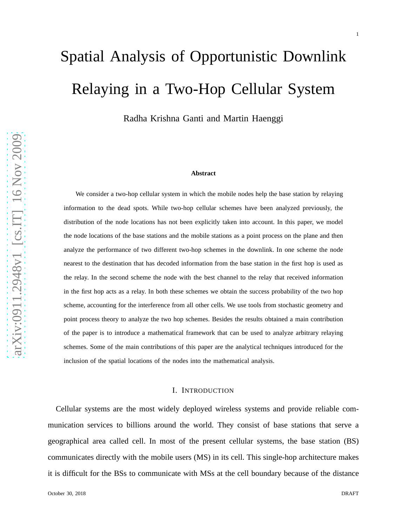# Spatial Analysis of Opportunistic Downlink Relaying in a Two-Hop Cellular System

Radha Krishna Ganti and Martin Haenggi

#### **Abstract**

We consider a two-hop cellular system in which the mobile nodes help the base station by relaying information to the dead spots. While two-hop cellular schemes have been analyzed previously, the distribution of the node locations has not been explicitly taken into account. In this paper, we model the node locations of the base stations and the mobile stations as a point process on the plane and then analyze the performance of two different two-hop schemes in the downlink. In one scheme the node nearest to the destination that has decoded information from the base station in the first hop is used as the relay. In the second scheme the node with the best channel to the relay that received information in the first hop acts as a relay. In both these schemes we obtain the success probability of the two hop scheme, accounting for the interference from all other cells. We use tools from stochastic geometry and point process theory to analyze the two hop schemes. Besides the results obtained a main contribution of the paper is to introduce a mathematical framework that can be used to analyze arbitrary relaying schemes. Some of the main contributions of this paper are the analytical techniques introduced for the inclusion of the spatial locations of the nodes into the mathematical analysis.

#### I. INTRODUCTION

Cellular systems are the most widely deployed wireless systems and provide reliable communication services to billions around the world. They consist of base stations that serve a geographical area called cell. In most of the present cellular systems, the base station (BS) communicates directly with the mobile users (MS) in its cell. This single-hop architecture makes it is difficult for the BSs to communicate with MSs at the cell boundary because of the distance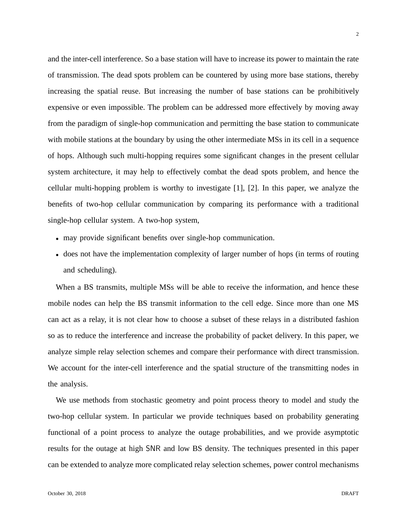and the inter-cell interference. So a base station will have to increase its power to maintain the rate of transmission. The dead spots problem can be countered by using more base stations, thereby increasing the spatial reuse. But increasing the number of base stations can be prohibitively expensive or even impossible. The problem can be addressed more effectively by moving away from the paradigm of single-hop communication and permitting the base station to communicate with mobile stations at the boundary by using the other intermediate MSs in its cell in a sequence of hops. Although such multi-hopping requires some significant changes in the present cellular system architecture, it may help to effectively combat the dead spots problem, and hence the cellular multi-hopping problem is worthy to investigate [1], [2]. In this paper, we analyze the benefits of two-hop cellular communication by comparing its performance with a traditional single-hop cellular system. A two-hop system,

- may provide significant benefits over single-hop communication.
- does not have the implementation complexity of larger number of hops (in terms of routing and scheduling).

When a BS transmits, multiple MSs will be able to receive the information, and hence these mobile nodes can help the BS transmit information to the cell edge. Since more than one MS can act as a relay, it is not clear how to choose a subset of these relays in a distributed fashion so as to reduce the interference and increase the probability of packet delivery. In this paper, we analyze simple relay selection schemes and compare their performance with direct transmission. We account for the inter-cell interference and the spatial structure of the transmitting nodes in the analysis.

We use methods from stochastic geometry and point process theory to model and study the two-hop cellular system. In particular we provide techniques based on probability generating functional of a point process to analyze the outage probabilities, and we provide asymptotic results for the outage at high SNR and low BS density. The techniques presented in this paper can be extended to analyze more complicated relay selection schemes, power control mechanisms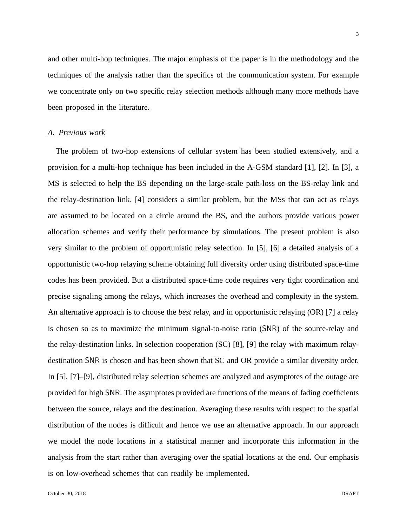and other multi-hop techniques. The major emphasis of the paper is in the methodology and the techniques of the analysis rather than the specifics of the communication system. For example we concentrate only on two specific relay selection methods although many more methods have been proposed in the literature.

### *A. Previous work*

The problem of two-hop extensions of cellular system has been studied extensively, and a provision for a multi-hop technique has been included in the A-GSM standard [1], [2]. In [3], a MS is selected to help the BS depending on the large-scale path-loss on the BS-relay link and the relay-destination link. [4] considers a similar problem, but the MSs that can act as relays are assumed to be located on a circle around the BS, and the authors provide various power allocation schemes and verify their performance by simulations. The present problem is also very similar to the problem of opportunistic relay selection. In [5], [6] a detailed analysis of a opportunistic two-hop relaying scheme obtaining full diversity order using distributed space-time codes has been provided. But a distributed space-time code requires very tight coordination and precise signaling among the relays, which increases the overhead and complexity in the system. An alternative approach is to choose the *best* relay, and in opportunistic relaying (OR) [7] a relay is chosen so as to maximize the minimum signal-to-noise ratio (SNR) of the source-relay and the relay-destination links. In selection cooperation (SC) [8], [9] the relay with maximum relaydestination SNR is chosen and has been shown that SC and OR provide a similar diversity order. In [5], [7]–[9], distributed relay selection schemes are analyzed and asymptotes of the outage are provided for high SNR. The asymptotes provided are functions of the means of fading coefficients between the source, relays and the destination. Averaging these results with respect to the spatial distribution of the nodes is difficult and hence we use an alternative approach. In our approach we model the node locations in a statistical manner and incorporate this information in the analysis from the start rather than averaging over the spatial locations at the end. Our emphasis is on low-overhead schemes that can readily be implemented.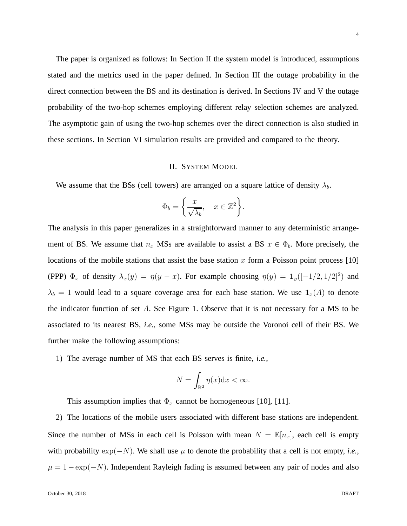The paper is organized as follows: In Section II the system model is introduced, assumptions stated and the metrics used in the paper defined. In Section III the outage probability in the direct connection between the BS and its destination is derived. In Sections IV and V the outage probability of the two-hop schemes employing different relay selection schemes are analyzed. The asymptotic gain of using the two-hop schemes over the direct connection is also studied in these sections. In Section VI simulation results are provided and compared to the theory.

#### II. SYSTEM MODEL

We assume that the BSs (cell towers) are arranged on a square lattice of density  $\lambda_b$ .

$$
\Phi_b = \left\{ \frac{x}{\sqrt{\lambda_b}}, \quad x \in \mathbb{Z}^2 \right\}.
$$

The analysis in this paper generalizes in a straightforward manner to any deterministic arrangement of BS. We assume that  $n_x$  MSs are available to assist a BS  $x \in \Phi_b$ . More precisely, the locations of the mobile stations that assist the base station  $x$  form a Poisson point process [10] (PPP)  $\Phi_x$  of density  $\lambda_x(y) = \eta(y-x)$ . For example choosing  $\eta(y) = \mathbf{1}_y([-1/2, 1/2]^2)$  and  $\lambda_b = 1$  would lead to a square coverage area for each base station. We use  $\mathbf{1}_x(A)$  to denote the indicator function of set  $A$ . See Figure 1. Observe that it is not necessary for a MS to be associated to its nearest BS, *i.e.*, some MSs may be outside the Voronoi cell of their BS. We further make the following assumptions:

1) The average number of MS that each BS serves is finite, *i.e.*,

$$
N = \int_{\mathbb{R}^2} \eta(x) \mathrm{d}x < \infty.
$$

This assumption implies that  $\Phi_x$  cannot be homogeneous [10], [11].

2) The locations of the mobile users associated with different base stations are independent. Since the number of MSs in each cell is Poisson with mean  $N = \mathbb{E}[n_x]$ , each cell is empty with probability  $\exp(-N)$ . We shall use  $\mu$  to denote the probability that a cell is not empty, *i.e.*,  $\mu = 1 - \exp(-N)$ . Independent Rayleigh fading is assumed between any pair of nodes and also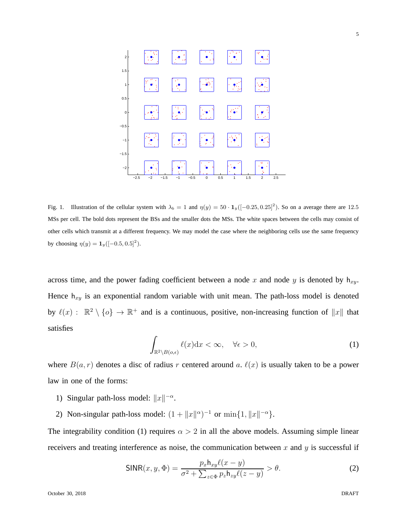

Fig. 1. Illustration of the cellular system with  $\lambda_b = 1$  and  $\eta(y) = 50 \cdot 1_y([-0.25, 0.25]^2)$ . So on a average there are 12.5 MSs per cell. The bold dots represent the BSs and the smaller dots the MSs. The white spaces between the cells may consist of other cells which transmit at a different frequency. We may model the case where the neighboring cells use the same frequency by choosing  $\eta(y) = \mathbf{1}_y([-0.5, 0.5]^2)$ .

across time, and the power fading coefficient between a node x and node y is denoted by  $h_{xy}$ . Hence  $h_{xy}$  is an exponential random variable with unit mean. The path-loss model is denoted by  $\ell(x)$ :  $\mathbb{R}^2 \setminus \{o\} \to \mathbb{R}^+$  and is a continuous, positive, non-increasing function of  $||x||$  that satisfies

$$
\int_{\mathbb{R}^2 \setminus B(o,\epsilon)} \ell(x) dx < \infty, \quad \forall \epsilon > 0,\tag{1}
$$

where  $B(a, r)$  denotes a disc of radius r centered around a.  $\ell(x)$  is usually taken to be a power law in one of the forms:

- 1) Singular path-loss model:  $||x||^{-\alpha}$ .
- 2) Non-singular path-loss model:  $(1 + ||x||^{\alpha})^{-1}$  or  $\min\{1, ||x||^{-\alpha}\}.$

The integrability condition (1) requires  $\alpha > 2$  in all the above models. Assuming simple linear receivers and treating interference as noise, the communication between x and y is successful if

$$
\text{SINR}(x, y, \Phi) = \frac{p_x h_{xy} \ell(x - y)}{\sigma^2 + \sum_{z \in \Phi} p_z h_{zy} \ell(z - y)} > \theta.
$$
 (2)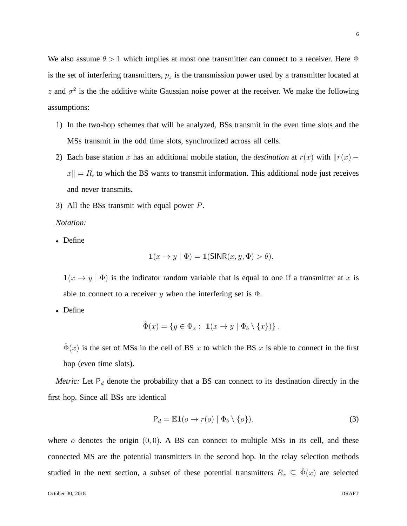6

We also assume  $\theta > 1$  which implies at most one transmitter can connect to a receiver. Here  $\Phi$ is the set of interfering transmitters,  $p_z$  is the transmission power used by a transmitter located at z and  $\sigma^2$  is the the additive white Gaussian noise power at the receiver. We make the following assumptions:

- 1) In the two-hop schemes that will be analyzed, BSs transmit in the even time slots and the MSs transmit in the odd time slots, synchronized across all cells.
- 2) Each base station x has an additional mobile station, the *destination* at  $r(x)$  with  $||r(x)$  $x\| = R$ , to which the BS wants to transmit information. This additional node just receives and never transmits.
- 3) All the BSs transmit with equal power P.

*Notation:*

• Define

$$
\mathbf{1}(x \to y \mid \Phi) = \mathbf{1}(\mathsf{SINR}(x, y, \Phi) > \theta).
$$

 $1(x \rightarrow y \mid \Phi)$  is the indicator random variable that is equal to one if a transmitter at x is able to connect to a receiver y when the interfering set is  $\Phi$ .

• Define

$$
\hat{\Phi}(x) = \{ y \in \Phi_x : \mathbf{1}(x \to y \mid \Phi_b \setminus \{x\}) \}.
$$

 $\hat{\Phi}(x)$  is the set of MSs in the cell of BS x to which the BS x is able to connect in the first hop (even time slots).

*Metric:* Let  $P_d$  denote the probability that a BS can connect to its destination directly in the first hop. Since all BSs are identical

$$
P_d = \mathbb{E} \mathbf{1}(o \to r(o) \mid \Phi_b \setminus \{o\}).
$$
\n(3)

where  $\sigma$  denotes the origin  $(0, 0)$ . A BS can connect to multiple MSs in its cell, and these connected MS are the potential transmitters in the second hop. In the relay selection methods studied in the next section, a subset of these potential transmitters  $R_x \subseteq \hat{\Phi}(x)$  are selected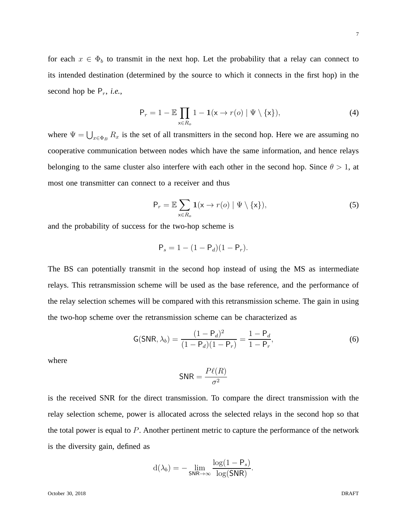for each  $x \in \Phi_b$  to transmit in the next hop. Let the probability that a relay can connect to its intended destination (determined by the source to which it connects in the first hop) in the second hop be  $P_r$ , *i.e.*,

$$
P_r = 1 - \mathbb{E} \prod_{x \in R_o} 1 - \mathbf{1}(x \to r(o) \mid \Psi \setminus \{x\}), \tag{4}
$$

where  $\Psi = \bigcup_{x \in \Phi_B} R_x$  is the set of all transmitters in the second hop. Here we are assuming no cooperative communication between nodes which have the same information, and hence relays belonging to the same cluster also interfere with each other in the second hop. Since  $\theta > 1$ , at most one transmitter can connect to a receiver and thus

$$
P_r = \mathbb{E} \sum_{x \in R_o} \mathbf{1}(x \to r(o) \mid \Psi \setminus \{x\}),\tag{5}
$$

and the probability of success for the two-hop scheme is

$$
P_s = 1 - (1 - P_d)(1 - P_r).
$$

The BS can potentially transmit in the second hop instead of using the MS as intermediate relays. This retransmission scheme will be used as the base reference, and the performance of the relay selection schemes will be compared with this retransmission scheme. The gain in using the two-hop scheme over the retransmission scheme can be characterized as

$$
G(SNR, \lambda_b) = \frac{(1 - P_d)^2}{(1 - P_d)(1 - P_r)} = \frac{1 - P_d}{1 - P_r},
$$
\n(6)

where

$$
\mathsf{SNR} = \frac{P\ell(R)}{\sigma^2}
$$

is the received SNR for the direct transmission. To compare the direct transmission with the relay selection scheme, power is allocated across the selected relays in the second hop so that the total power is equal to  $P$ . Another pertinent metric to capture the performance of the network is the diversity gain, defined as

$$
d(\lambda_b) = -\lim_{\text{SNR}\to\infty} \frac{\log(1-P_s)}{\log(\text{SNR})}.
$$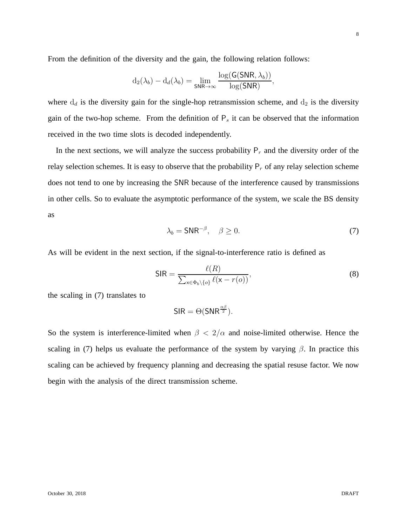From the definition of the diversity and the gain, the following relation follows:

$$
d_2(\lambda_b) - d_d(\lambda_b) = \lim_{\mathsf{SNR}\rightarrow\infty} \frac{\log(\mathsf{G}(\mathsf{SNR},\lambda_b))}{\log(\mathsf{SNR})},
$$

where  $d_d$  is the diversity gain for the single-hop retransmission scheme, and  $d_2$  is the diversity gain of the two-hop scheme. From the definition of  $P_s$  it can be observed that the information received in the two time slots is decoded independently.

In the next sections, we will analyze the success probability  $P_r$  and the diversity order of the relay selection schemes. It is easy to observe that the probability  $P_r$  of any relay selection scheme does not tend to one by increasing the SNR because of the interference caused by transmissions in other cells. So to evaluate the asymptotic performance of the system, we scale the BS density as

$$
\lambda_b = \mathsf{SNR}^{-\beta}, \quad \beta \ge 0. \tag{7}
$$

As will be evident in the next section, if the signal-to-interference ratio is defined as

$$
\mathsf{SIR} = \frac{\ell(R)}{\sum_{\mathsf{x} \in \Phi_b \setminus \{o\}} \ell(\mathsf{x} - r(o))},\tag{8}
$$

the scaling in (7) translates to

$$
SIR = \Theta(SNR^{\frac{\alpha\beta}{2}}).
$$

So the system is interference-limited when  $\beta < 2/\alpha$  and noise-limited otherwise. Hence the scaling in (7) helps us evaluate the performance of the system by varying  $\beta$ . In practice this scaling can be achieved by frequency planning and decreasing the spatial resuse factor. We now begin with the analysis of the direct transmission scheme.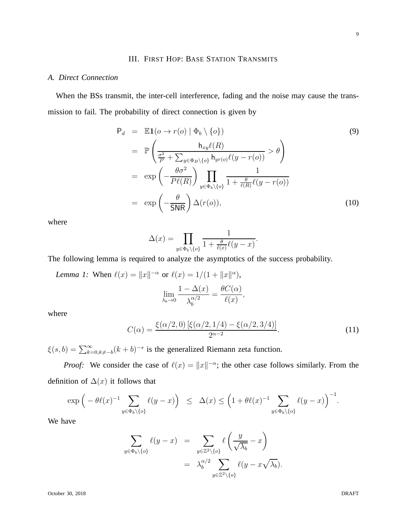# III. FIRST HOP: BASE STATION TRANSMITS

### *A. Direct Connection*

When the BSs transmit, the inter-cell interference, fading and the noise may cause the transmission to fail. The probability of direct connection is given by

$$
P_d = \mathbb{E}1(o \to r(o) | \Phi_b \setminus \{o\})
$$
(9)  

$$
= \mathbb{P}\left(\frac{h_{xy}\ell(R)}{\frac{\sigma^2}{P} + \sum_{y \in \Phi_B \setminus \{o\}} h_{yr(o)}\ell(y - r(o))} > \theta\right)
$$
  

$$
= \exp\left(-\frac{\theta \sigma^2}{P\ell(R)}\right) \prod_{y \in \Phi_b \setminus \{o\}} \frac{1}{1 + \frac{\theta}{\ell(R)}\ell(y - r(o))}
$$
  

$$
= \exp\left(-\frac{\theta}{\mathsf{SNR}}\right) \Delta(r(o)),
$$
(10)

where

$$
\Delta(x) = \prod_{y \in \Phi_b \setminus \{o\}} \frac{1}{1 + \frac{\theta}{\ell(x)} \ell(y - x)}
$$

The following lemma is required to analyze the asymptotics of the success probability.

Lemma 1: When 
$$
\ell(x) = ||x||^{-\alpha}
$$
 or  $\ell(x) = 1/(1 + ||x||^{\alpha})$ ,  

$$
\lim_{\lambda_b \to 0} \frac{1 - \Delta(x)}{\lambda_b^{\alpha/2}} = \frac{\theta C(\alpha)}{\ell(x)},
$$

where

$$
C(\alpha) = \frac{\xi(\alpha/2, 0) [\xi(\alpha/2, 1/4) - \xi(\alpha/2, 3/4)]}{2^{\alpha - 2}}.
$$
\n(11)

.

 $\xi(s, b) = \sum_{k=0, k \neq -b}^{\infty} (k+b)^{-s}$  is the generalized Riemann zeta function.

*Proof:* We consider the case of  $\ell(x) = ||x||^{-\alpha}$ ; the other case follows similarly. From the definition of  $\Delta(x)$  it follows that

$$
\exp\left(-\theta\ell(x)^{-1}\sum_{y\in\Phi_b\backslash\{o\}}\ell(y-x)\right) \leq \Delta(x)\leq \left(1+\theta\ell(x)^{-1}\sum_{y\in\Phi_b\backslash\{o\}}\ell(y-x)\right)^{-1}.
$$

We have

$$
\sum_{y \in \Phi_b \setminus \{o\}} \ell(y - x) = \sum_{y \in \mathbb{Z}^2 \setminus \{o\}} \ell \left( \frac{y}{\sqrt{\lambda_b}} - x \right)
$$

$$
= \lambda_b^{\alpha/2} \sum_{y \in \mathbb{Z}^2 \setminus \{o\}} \ell(y - x \sqrt{\lambda_b}).
$$

October 30, 2018 DRAFT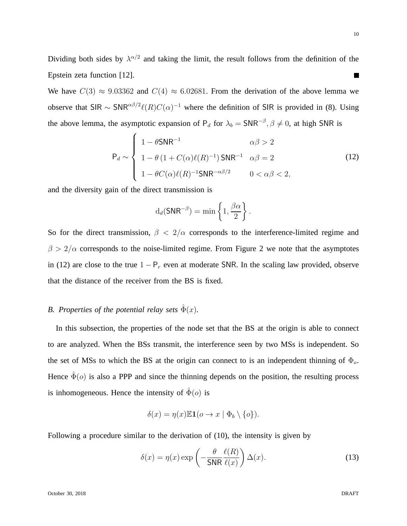Dividing both sides by  $\lambda^{\alpha/2}$  and taking the limit, the result follows from the definition of the Epstein zeta function [12].  $\mathcal{L}_{\mathcal{A}}$ 

We have  $C(3) \approx 9.03362$  and  $C(4) \approx 6.02681$ . From the derivation of the above lemma we observe that SIR  $\sim$  SNR<sup> $\alpha\beta/2}$ </sup> $\ell(R)C(\alpha)^{-1}$  where the definition of SIR is provided in (8). Using the above lemma, the asymptotic expansion of  $P_d$  for  $\lambda_b = SNR^{-\beta}, \beta \neq 0$ , at high SNR is

$$
\mathsf{P}_d \sim \begin{cases} 1 - \theta \mathsf{SNR}^{-1} & \alpha\beta > 2 \\ 1 - \theta \left(1 + C(\alpha)\ell(R)^{-1}\right) \mathsf{SNR}^{-1} & \alpha\beta = 2 \\ 1 - \theta C(\alpha)\ell(R)^{-1} \mathsf{SNR}^{-\alpha\beta/2} & 0 < \alpha\beta < 2, \end{cases} \tag{12}
$$

and the diversity gain of the direct transmission is

$$
d_d(\mathsf{SNR}^{-\beta}) = \min\left\{1, \frac{\beta\alpha}{2}\right\}.
$$

So for the direct transmission,  $\beta < 2/\alpha$  corresponds to the interference-limited regime and  $\beta > 2/\alpha$  corresponds to the noise-limited regime. From Figure 2 we note that the asymptotes in (12) are close to the true  $1 - P_r$  even at moderate SNR. In the scaling law provided, observe that the distance of the receiver from the BS is fixed.

# *B. Properties of the potential relay sets*  $\hat{\Phi}(x)$ *.*

In this subsection, the properties of the node set that the BS at the origin is able to connect to are analyzed. When the BSs transmit, the interference seen by two MSs is independent. So the set of MSs to which the BS at the origin can connect to is an independent thinning of  $\Phi_{o}$ . Hence  $\hat{\Phi}(\rho)$  is also a PPP and since the thinning depends on the position, the resulting process is inhomogeneous. Hence the intensity of  $\hat{\Phi}(o)$  is

$$
\delta(x) = \eta(x) \mathbb{E} \mathbf{1}(o \to x \mid \Phi_b \setminus \{o\}).
$$

Following a procedure similar to the derivation of (10), the intensity is given by

$$
\delta(x) = \eta(x) \exp\left(-\frac{\theta}{\mathsf{SNR}} \frac{\ell(R)}{\ell(x)}\right) \Delta(x). \tag{13}
$$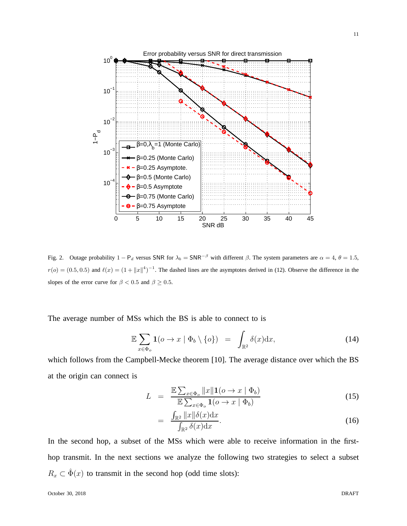

Fig. 2. Outage probability  $1 - P_d$  versus SNR for  $\lambda_b = \text{SNR}^{-\beta}$  with different  $\beta$ . The system parameters are  $\alpha = 4$ ,  $\theta = 1.5$ ,  $r(o) = (0.5, 0.5)$  and  $\ell(x) = (1 + ||x||^4)^{-1}$ . The dashed lines are the asymptotes derived in (12). Observe the difference in the slopes of the error curve for  $\beta < 0.5$  and  $\beta \ge 0.5$ .

The average number of MSs which the BS is able to connect to is

$$
\mathbb{E}\sum_{x\in\Phi_o}\mathbf{1}(o\to x\mid\Phi_b\setminus\{o\})\quad=\quad\int_{\mathbb{R}^2}\delta(x)\mathrm{d}x,\tag{14}
$$

which follows from the Campbell-Mecke theorem [10]. The average distance over which the BS at the origin can connect is

$$
L = \frac{\mathbb{E}\sum_{x\in\Phi_o} ||x|| \mathbf{1}(o \to x \mid \Phi_b)}{\mathbb{E}\sum_{x\in\Phi_o} \mathbf{1}(o \to x \mid \Phi_b)}
$$
(15)

$$
= \frac{\int_{\mathbb{R}^2} ||x|| \delta(x) dx}{\int_{\mathbb{R}^2} \delta(x) dx}.
$$
 (16)

In the second hop, a subset of the MSs which were able to receive information in the firsthop transmit. In the next sections we analyze the following two strategies to select a subset  $R_x \subset \hat{\Phi}(x)$  to transmit in the second hop (odd time slots):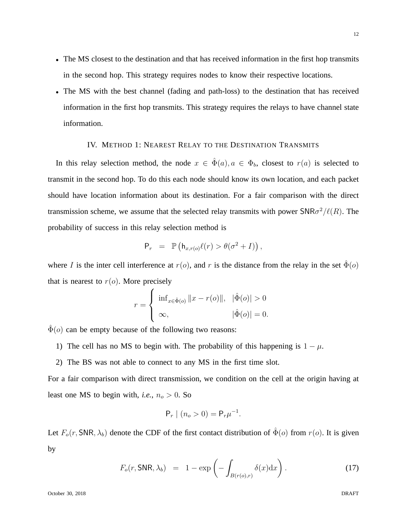- The MS closest to the destination and that has received information in the first hop transmits in the second hop. This strategy requires nodes to know their respective locations.
- The MS with the best channel (fading and path-loss) to the destination that has received information in the first hop transmits. This strategy requires the relays to have channel state information.

# IV. METHOD 1: NEAREST RELAY TO THE DESTINATION TRANSMITS

In this relay selection method, the node  $x \in \hat{\Phi}(a), a \in \Phi_b$ , closest to  $r(a)$  is selected to transmit in the second hop. To do this each node should know its own location, and each packet should have location information about its destination. For a fair comparison with the direct transmission scheme, we assume that the selected relay transmits with power  $\text{SNR}\sigma^2/\ell(R)$ . The probability of success in this relay selection method is

$$
\mathsf{P}_r = \mathbb{P}\left(\mathsf{h}_{x,r(o)}\ell(r) > \theta(\sigma^2 + I)\right),
$$

where I is the inter cell interference at  $r(o)$ , and r is the distance from the relay in the set  $\Phi(o)$ that is nearest to  $r(o)$ . More precisely

$$
r = \begin{cases} \inf_{x \in \hat{\Phi}(o)} ||x - r(o)||, & |\hat{\Phi}(o)| > 0 \\ \infty, & |\hat{\Phi}(o)| = 0. \end{cases}
$$

 $\hat{\Phi}(o)$  can be empty because of the following two reasons:

- 1) The cell has no MS to begin with. The probability of this happening is  $1 \mu$ .
- 2) The BS was not able to connect to any MS in the first time slot.

For a fair comparison with direct transmission, we condition on the cell at the origin having at least one MS to begin with, *i.e.*,  $n_o > 0$ . So

$$
P_r | (n_o > 0) = P_r \mu^{-1}.
$$

Let  $F_o(r, \text{SNR}, \lambda_b)$  denote the CDF of the first contact distribution of  $\hat{\Phi}(o)$  from  $r(o)$ . It is given by

$$
F_o(r, \text{SNR}, \lambda_b) = 1 - \exp\left(-\int_{B(r(o), r)} \delta(x) dx\right). \tag{17}
$$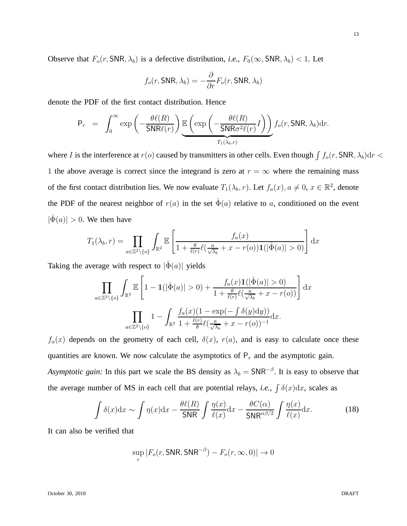Observe that  $F_o(r, \text{SNR}, \lambda_b)$  is a defective distribution, *i.e.*,  $F_0(\infty, \text{SNR}, \lambda_b) < 1$ . Let

$$
f_o(r, \text{SNR}, \lambda_b) = -\frac{\partial}{\partial r} F_o(r, \text{SNR}, \lambda_b)
$$

denote the PDF of the first contact distribution. Hence

$$
P_r = \int_0^\infty \exp\left(-\frac{\theta\ell(R)}{\mathsf{SNR}\ell(r)}\right) \underbrace{\mathbb{E}\left(\exp\left(-\frac{\theta\ell(R)}{\mathsf{SNR}\sigma^2\ell(r)}I\right)\right)}_{T_1(\lambda_b,r)} f_o(r, \mathsf{SNR}, \lambda_b) dr.
$$

where I is the interference at  $r(o)$  caused by transmitters in other cells. Even though  $\int f_o(r, SNR, \lambda_b) dr <$ 1 the above average is correct since the integrand is zero at  $r = \infty$  where the remaining mass of the first contact distribution lies. We now evaluate  $T_1(\lambda_b, r)$ . Let  $f_a(x), a \neq 0, x \in \mathbb{R}^2$ , denote the PDF of the nearest neighbor of  $r(a)$  in the set  $\hat{\Phi}(a)$  relative to a, conditioned on the event  $|\hat{\Phi}(a)| > 0$ . We then have

$$
T_1(\lambda_b, r) = \prod_{a \in \mathbb{Z}^2 \setminus \{o\}} \int_{\mathbb{R}^2} \mathbb{E}\left[\frac{f_a(x)}{1 + \frac{\theta}{\ell(r)}\ell(\frac{a}{\sqrt{\lambda_b}} + x - r(o))\mathbf{1}(|\hat{\Phi}(a)| > 0)}\right] dx
$$

Taking the average with respect to  $|\hat{\Phi}(a)|$  yields

$$
\prod_{a\in\mathbb{Z}^2\backslash\{o\}}\int_{\mathbb{R}^2} \mathbb{E}\left[1 - \mathbf{1}(|\hat{\Phi}(a)| > 0) + \frac{f_a(x)\mathbf{1}(|\hat{\Phi}(a)| > 0)}{1 + \frac{\theta}{\ell(r)}\ell(\frac{a}{\sqrt{\lambda_b}} + x - r(o))}\right] dx
$$

$$
\prod_{a\in\mathbb{Z}^2\backslash\{o\}} 1 - \int_{\mathbb{R}^2} \frac{f_a(x)(1 - \exp(-\int \delta(y)dy))}{1 + \frac{\ell(r)}{\theta}\ell(\frac{a}{\sqrt{\lambda_b}} + x - r(o))^{-1}} dx.
$$

 $f_a(x)$  depends on the geometry of each cell,  $\delta(x)$ ,  $r(a)$ , and is easy to calculate once these quantities are known. We now calculate the asymptotics of  $P_r$  and the asymptotic gain. *Asymptotic gain:* In this part we scale the BS density as  $\lambda_b = \text{SNR}^{-\beta}$ . It is easy to observe that the average number of MS in each cell that are potential relays, *i.e.*,  $\int \delta(x) dx$ , scales as

$$
\int \delta(x) dx \sim \int \eta(x) dx - \frac{\theta \ell(R)}{\mathsf{SNR}} \int \frac{\eta(x)}{\ell(x)} dx - \frac{\theta C(\alpha)}{\mathsf{SNR}^{\alpha\beta/2}} \int \frac{\eta(x)}{\ell(x)} dx.
$$
 (18)

It can also be verified that

$$
\sup_r |F_o(r, \mathsf{SNR}, \mathsf{SNR}^{-\beta}) - F_o(r, \infty, 0)| \to 0
$$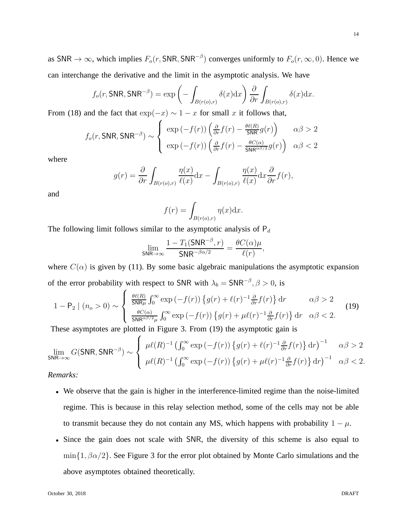as SNR  $\to \infty$ , which implies  $F_o(r, \text{SNR}, \text{SNR}^{-\beta})$  converges uniformly to  $F_o(r, \infty, 0)$ . Hence we can interchange the derivative and the limit in the asymptotic analysis. We have

$$
f_o(r, \text{SNR}, \text{SNR}^{-\beta}) = \exp\left(-\int_{B(r(o),r)} \delta(x) dx\right) \frac{\partial}{\partial r} \int_{B(r(o),r)} \delta(x) dx.
$$

From (18) and the fact that  $\exp(-x) \sim 1 - x$  for small x it follows that,

$$
f_o(r, \text{SNR}, \text{SNR}^{-\beta}) \sim \begin{cases} \exp(-f(r))\left(\frac{\partial}{\partial r}f(r) - \frac{\theta\ell(R)}{\text{SNR}}g(r)\right) & \alpha\beta > 2\\ \exp(-f(r))\left(\frac{\partial}{\partial r}f(r) - \frac{\theta C(\alpha)}{\text{SNR}^{\alpha\beta/2}}g(r)\right) & \alpha\beta < 2 \end{cases}
$$

where

$$
g(r) = \frac{\partial}{\partial r} \int_{B(r(o),r)} \frac{\eta(x)}{\ell(x)} dx - \int_{B(r(o),r)} \frac{\eta(x)}{\ell(x)} dx \frac{\partial}{\partial r} f(r),
$$

and

$$
f(r) = \int_{B(r(o),r)} \eta(x) \mathrm{d}x.
$$

The following limit follows similar to the asymptotic analysis of  $P_d$ 

$$
\lim_{\mathsf{SNR}\to\infty}\frac{1-T_1(\mathsf{SNR}^{-\beta},r)}{\mathsf{SNR}^{-\beta\alpha/2}}=\frac{\theta C(\alpha)\mu}{\ell(r)},
$$

where  $C(\alpha)$  is given by (11). By some basic algebraic manipulations the asymptotic expansion of the error probability with respect to SNR with  $\lambda_b = \text{SNR}^{-\beta}, \beta > 0$ , is

$$
1 - P_2 \mid (n_o > 0) \sim \begin{cases} \frac{\theta \ell(R)}{\mathsf{SNR}\mu} \int_0^\infty \exp\left(-f(r)\right) \left\{ g(r) + \ell(r)^{-1} \frac{\partial}{\partial r} f(r) \right\} dr & \alpha \beta > 2\\ \frac{\theta C(\alpha)}{\mathsf{SNR}^{\alpha \beta/2} \mu} \int_0^\infty \exp\left(-f(r)\right) \left\{ g(r) + \mu \ell(r)^{-1} \frac{\partial}{\partial r} f(r) \right\} dr & \alpha \beta < 2. \end{cases}
$$
(19)

These asymptotes are plotted in Figure 3. From (19) the asymptotic gain is

$$
\lim_{\text{SNR}\to\infty} G(\text{SNR}, \text{SNR}^{-\beta}) \sim \left\{ \begin{array}{ll} \mu\ell(R)^{-1} \left( \int_0^\infty \exp\left( -f(r) \right) \left\{ g(r) + \ell(r)^{-1} \frac{\partial}{\partial r} f(r) \right\} dr \right)^{-1} & \alpha\beta > 2 \\ \mu\ell(R)^{-1} \left( \int_0^\infty \exp\left( -f(r) \right) \left\{ g(r) + \mu\ell(r)^{-1} \frac{\partial}{\partial r} f(r) \right\} dr \right)^{-1} & \alpha\beta < 2. \end{array} \right.
$$

*Remarks:*

- We observe that the gain is higher in the interference-limited regime than the noise-limited regime. This is because in this relay selection method, some of the cells may not be able to transmit because they do not contain any MS, which happens with probability  $1 - \mu$ .
- Since the gain does not scale with SNR, the diversity of this scheme is also equal to  $\min\{1, \beta\alpha/2\}$ . See Figure 3 for the error plot obtained by Monte Carlo simulations and the above asymptotes obtained theoretically.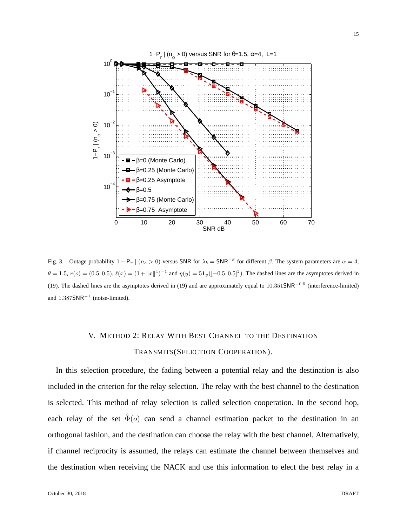

Fig. 3. Outage probability  $1 - P_r \mid (n_o > 0)$  versus SNR for  $\lambda_b = SNR^{-\beta}$  for different  $\beta$ . The system parameters are  $\alpha = 4$ ,  $\theta = 1.5$ ,  $r(o) = (0.5, 0.5), \ell(x) = (1 + ||x||^4)^{-1}$  and  $\eta(y) = 51_y([-0.5, 0.5]^2)$ . The dashed lines are the asymptotes derived in (19). The dashed lines are the asymptotes derived in (19) and are approximately equal to  $10.351\text{SNR}^{-0.5}$  (interference-limited) and  $1.387$ SNR<sup>-1</sup> (noise-limited).

# V. METHOD 2: RELAY WITH BEST CHANNEL TO THE DESTINATION TRANSMITS(SELECTION COOPERATION).

In this selection procedure, the fading between a potential relay and the destination is also included in the criterion for the relay selection. The relay with the best channel to the destination is selected. This method of relay selection is called selection cooperation. In the second hop, each relay of the set  $\hat{\Phi}(o)$  can send a channel estimation packet to the destination in an orthogonal fashion, and the destination can choose the relay with the best channel. Alternatively, if channel reciprocity is assumed, the relays can estimate the channel between themselves and the destination when receiving the NACK and use this information to elect the best relay in a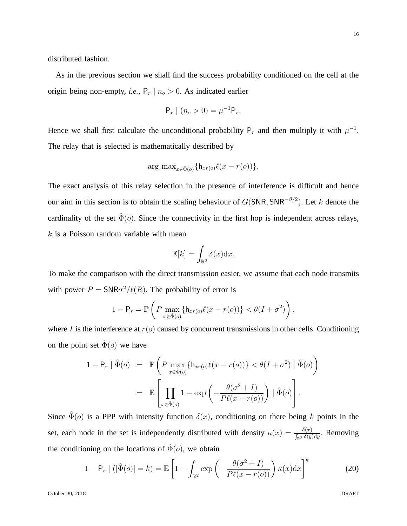distributed fashion.

As in the previous section we shall find the success probability conditioned on the cell at the origin being non-empty, *i.e.*,  $P_r | n_o > 0$ . As indicated earlier

$$
P_r | (n_o > 0) = \mu^{-1} P_r.
$$

Hence we shall first calculate the unconditional probability  $P_r$  and then multiply it with  $\mu^{-1}$ . The relay that is selected is mathematically described by

$$
\arg\max_{x \in \hat{\Phi}(o)} \{ \mathsf{h}_{xr(o)} \ell(x - r(o)) \}.
$$

The exact analysis of this relay selection in the presence of interference is difficult and hence our aim in this section is to obtain the scaling behaviour of  $G(SNR, SNR^{-\beta/2})$ . Let k denote the cardinality of the set  $\hat{\Phi}(o)$ . Since the connectivity in the first hop is independent across relays,  $k$  is a Poisson random variable with mean

$$
\mathbb{E}[k] = \int_{\mathbb{R}^2} \delta(x) \mathrm{d}x.
$$

To make the comparison with the direct transmission easier, we assume that each node transmits with power  $P = \text{SNR}\sigma^2/\ell(R)$ . The probability of error is

$$
1 - \mathsf{P}_r = \mathbb{P}\left(P \max_{x \in \hat{\Phi}(o)} \{\mathsf{h}_{xr(o)}\ell(x - r(o))\} < \theta(I + \sigma^2)\right),
$$

where I is the interference at  $r(o)$  caused by concurrent transmissions in other cells. Conditioning on the point set  $\hat{\Phi}(o)$  we have

$$
1 - P_r \mid \hat{\Phi}(o) = \mathbb{P}\left(P \max_{x \in \hat{\Phi}(o)} \{h_{xr(o)}\ell(x - r(o))\} < \theta(I + \sigma^2) \mid \hat{\Phi}(o)\right)
$$
\n
$$
= \mathbb{E}\left[\prod_{x \in \hat{\Phi}(o)} 1 - \exp\left(-\frac{\theta(\sigma^2 + I)}{P\ell(x - r(o))}\right) \mid \hat{\Phi}(o)\right].
$$

Since  $\hat{\Phi}(o)$  is a PPP with intensity function  $\delta(x)$ , conditioning on there being k points in the set, each node in the set is independently distributed with density  $\kappa(x) = \frac{\delta(x)}{\int_{\mathbb{R}^2} \delta(y) dy}$ . Removing the conditioning on the locations of  $\hat{\Phi}(o)$ , we obtain

$$
1 - P_r | (|\hat{\Phi}(o)| = k) = \mathbb{E} \left[ 1 - \int_{\mathbb{R}^2} \exp \left( -\frac{\theta(\sigma^2 + I)}{P\ell(x - r(o))} \right) \kappa(x) dx \right]^k
$$
 (20)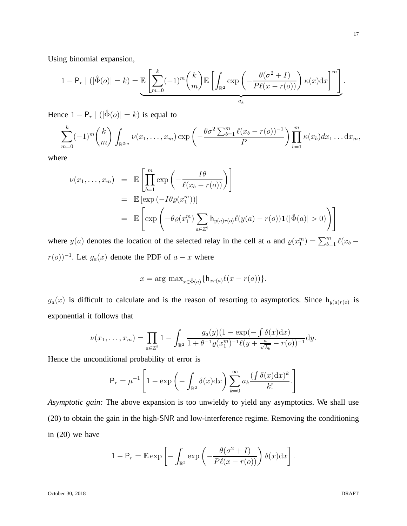Using binomial expansion,

$$
1 - P_r | (|\hat{\Phi}(o)| = k) = \mathbb{E} \left[ \sum_{m=0}^k (-1)^m {k \choose m} \mathbb{E} \left[ \int_{\mathbb{R}^2} \exp \left( -\frac{\theta(\sigma^2 + I)}{P\ell(x - r(o))} \right) \kappa(x) dx \right]^m \right].
$$

Hence  $1 - P_r | (|\hat{\Phi}(o)| = k)$  is equal to

$$
\sum_{m=0}^k (-1)^m {k \choose m} \int_{\mathbb{R}^{2m}} \nu(x_1,\ldots,x_m) \exp\left(-\frac{\theta \sigma^2 \sum_{b=1}^m \ell(x_b-r(o))^{-1}}{P}\right) \prod_{b=1}^m \kappa(x_b) dx_1 \ldots dx_m,
$$

where

$$
\nu(x_1, \dots, x_m) = \mathbb{E} \left[ \prod_{b=1}^m \exp \left( - \frac{I \theta}{\ell(x_b - r(o))} \right) \right]
$$
  
\n
$$
= \mathbb{E} \left[ \exp \left( -I \theta \varrho(x_1^m) \right) \right]
$$
  
\n
$$
= \mathbb{E} \left[ \exp \left( -\theta \varrho(x_1^m) \sum_{a \in \mathbb{Z}^2} \mathbf{h}_{y(a)r(o)} \ell(y(a) - r(o)) \mathbf{1}(|\hat{\Phi}(a)| > 0) \right) \right]
$$

where  $y(a)$  denotes the location of the selected relay in the cell at a and  $\rho(x_1^m) = \sum_{b=1}^m \ell(x_b$  $r(o))^{-1}$ . Let  $g_a(x)$  denote the PDF of  $a - x$  where

$$
x = \arg \max_{x \in \hat{\Phi}(a)} \{ h_{xr(a)}\ell(x - r(a)) \}.
$$

 $g_a(x)$  is difficult to calculate and is the reason of resorting to asymptotics. Since  $h_{y(a)r(o)}$  is exponential it follows that

$$
\nu(x_1,\ldots,x_m)=\prod_{a\in\mathbb{Z}^2}1-\int_{\mathbb{R}^2}\frac{g_a(y)(1-\exp(-\int_{-\infty}^{\infty} \delta(x)dx)}{1+\theta^{-1}\varrho(x_1^m)^{-1}\ell(y+\frac{a}{\sqrt{\lambda_b}}-r(o))^{-1}}dy.
$$

Hence the unconditional probability of error is

$$
\mathsf{P}_r = \mu^{-1} \left[ 1 - \exp \left( - \int_{\mathbb{R}^2} \delta(x) dx \right) \sum_{k=0}^{\infty} a_k \frac{(\int \delta(x) dx)^k}{k!} \right]
$$

*Asymptotic gain:* The above expansion is too unwieldy to yield any asymptotics. We shall use (20) to obtain the gain in the high-SNR and low-interference regime. Removing the conditioning in (20) we have

$$
1 - \mathsf{P}_r = \mathbb{E} \exp \left[ - \int_{\mathbb{R}^2} \exp \left( - \frac{\theta(\sigma^2 + I)}{P\ell(x - r(o))} \right) \delta(x) dx \right].
$$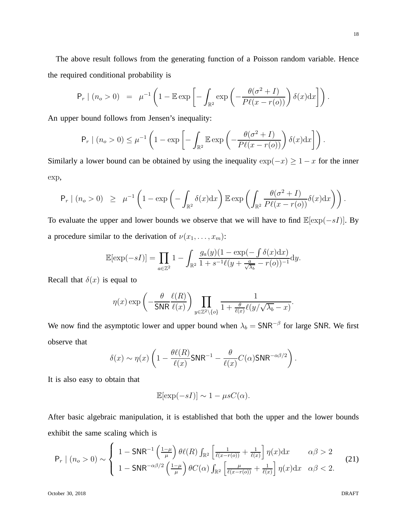The above result follows from the generating function of a Poisson random variable. Hence

the required conditional probability is

$$
\mathsf{P}_r \mid (n_o > 0) = \mu^{-1} \left( 1 - \mathbb{E} \exp \left[ - \int_{\mathbb{R}^2} \exp \left( - \frac{\theta(\sigma^2 + I)}{P\ell(x - r(o))} \right) \delta(x) dx \right] \right).
$$

An upper bound follows from Jensen's inequality:

$$
\mathsf{P}_r \mid (n_o > 0) \leq \mu^{-1} \left( 1 - \exp \left[ - \int_{\mathbb{R}^2} \mathbb{E} \exp \left( - \frac{\theta(\sigma^2 + I)}{P\ell(x - r(o))} \right) \delta(x) dx \right] \right).
$$

Similarly a lower bound can be obtained by using the inequality  $\exp(-x) \geq 1 - x$  for the inner exp,

$$
\mathsf{P}_r \mid (n_o > 0) \geq \mu^{-1} \left( 1 - \exp \left( - \int_{\mathbb{R}^2} \delta(x) dx \right) \mathbb{E} \exp \left( \int_{\mathbb{R}^2} \frac{\theta(\sigma^2 + I)}{P\ell(x - r(o))} \delta(x) dx \right) \right).
$$

To evaluate the upper and lower bounds we observe that we will have to find  $\mathbb{E}[\exp(-sI)]$ . By a procedure similar to the derivation of  $\nu(x_1, \ldots, x_m)$ :

$$
\mathbb{E}[\exp(-sI)] = \prod_{a \in \mathbb{Z}^2} 1 - \int_{\mathbb{R}^2} \frac{g_a(y)(1 - \exp(-\int \delta(x) dx)}{1 + s^{-1}\ell(y + \frac{a}{\sqrt{\lambda_b}} - r(o))^{-1}} dy.
$$

Recall that  $\delta(x)$  is equal to

$$
\eta(x) \exp\left(-\frac{\theta}{\mathsf{SNR}}\frac{\ell(R)}{\ell(x)}\right) \prod_{y \in \mathbb{Z}^2 \setminus \{o\}} \frac{1}{1 + \frac{\theta}{\ell(x)}\ell(y/\sqrt{\lambda_b} - x)}.
$$

We now find the asymptotic lower and upper bound when  $\lambda_b = \text{SNR}^{-\beta}$  for large SNR. We first observe that

$$
\delta(x) \sim \eta(x) \left( 1 - \frac{\theta \ell(R)}{\ell(x)} \mathsf{SNR}^{-1} - \frac{\theta}{\ell(x)} C(\alpha) \mathsf{SNR}^{-\alpha\beta/2} \right).
$$

It is also easy to obtain that

$$
\mathbb{E}[\exp(-sI)] \sim 1 - \mu sC(\alpha).
$$

After basic algebraic manipulation, it is established that both the upper and the lower bounds exhibit the same scaling which is

$$
\mathsf{P}_{r} \mid (n_{o} > 0) \sim \left\{ \begin{array}{ll} 1 - \mathsf{SNR}^{-1} \left( \frac{1-\mu}{\mu} \right) \theta \ell(R) \int_{\mathbb{R}^{2}} \left[ \frac{1}{\ell(x-r(o))} + \frac{1}{\ell(x)} \right] \eta(x) dx & \alpha \beta > 2 \\ 1 - \mathsf{SNR}^{-\alpha \beta/2} \left( \frac{1-\mu}{\mu} \right) \theta C(\alpha) \int_{\mathbb{R}^{2}} \left[ \frac{\mu}{\ell(x-r(o))} + \frac{1}{\ell(x)} \right] \eta(x) dx & \alpha \beta < 2. \end{array} \right. \tag{21}
$$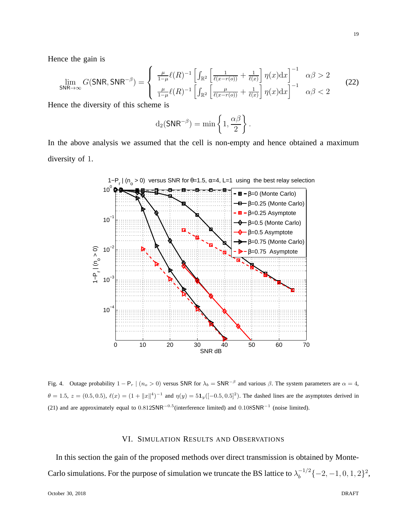Hence the gain is

$$
\lim_{\text{SNR}\to\infty} G(\text{SNR}, \text{SNR}^{-\beta}) = \begin{cases} \frac{\mu}{1-\mu}\ell(R)^{-1} \left[ \int_{\mathbb{R}^2} \left[ \frac{1}{\ell(x-r(o))} + \frac{1}{\ell(x)} \right] \eta(x) dx \right]^{-1} & \alpha\beta > 2\\ \frac{\mu}{1-\mu}\ell(R)^{-1} \left[ \int_{\mathbb{R}^2} \left[ \frac{\mu}{\ell(x-r(o))} + \frac{1}{\ell(x)} \right] \eta(x) dx \right]^{-1} & \alpha\beta < 2 \end{cases} \tag{22}
$$

Hence the diversity of this scheme is

$$
d_2(\mathsf{SNR}^{-\beta}) = \min\left\{1, \frac{\alpha\beta}{2}\right\}.
$$

In the above analysis we assumed that the cell is non-empty and hence obtained a maximum diversity of 1.



Fig. 4. Outage probability  $1 - P_r \mid (n_o > 0)$  versus SNR for  $\lambda_b = SNR^{-\beta}$  and various  $\beta$ . The system parameters are  $\alpha = 4$ ,  $\theta = 1.5$ ,  $z = (0.5, 0.5)$ ,  $\ell(x) = (1 + ||x||^4)^{-1}$  and  $\eta(y) = 51_y([-0.5, 0.5]^2)$ . The dashed lines are the asymptotes derived in (21) and are approximately equal to  $0.8125$ NR<sup> $-0.5$ </sup>(interference limited) and  $0.1085$ NR<sup> $-1$ </sup> (noise limited).

# VI. SIMULATION RESULTS AND OBSERVATIONS

In this section the gain of the proposed methods over direct transmission is obtained by Monte-Carlo simulations. For the purpose of simulation we truncate the BS lattice to  $\lambda_b^{-1/2} \{-2, -1, 0, 1, 2\}^2$ ,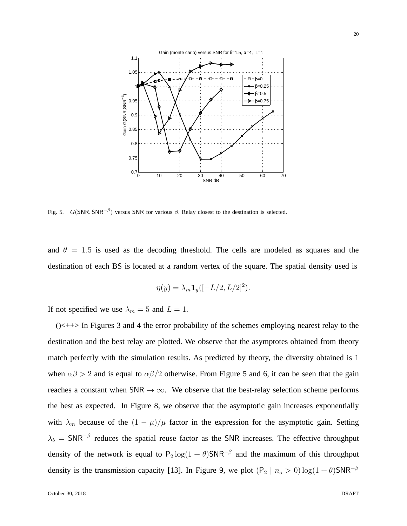

Fig. 5.  $G(SNR, SNR^{-\beta})$  versus SNR for various  $\beta$ . Relay closest to the destination is selected.

and  $\theta = 1.5$  is used as the decoding threshold. The cells are modeled as squares and the destination of each BS is located at a random vertex of the square. The spatial density used is

$$
\eta(y) = \lambda_m \mathbf{1}_y ([-L/2, L/2]^2).
$$

If not specified we use  $\lambda_m = 5$  and  $L = 1$ .

 $(\times + \times)$  In Figures 3 and 4 the error probability of the schemes employing nearest relay to the destination and the best relay are plotted. We observe that the asymptotes obtained from theory match perfectly with the simulation results. As predicted by theory, the diversity obtained is 1 when  $\alpha\beta > 2$  and is equal to  $\alpha\beta/2$  otherwise. From Figure 5 and 6, it can be seen that the gain reaches a constant when  $SNR \rightarrow \infty$ . We observe that the best-relay selection scheme performs the best as expected. In Figure 8, we observe that the asymptotic gain increases exponentially with  $\lambda_m$  because of the  $(1 - \mu)/\mu$  factor in the expression for the asymptotic gain. Setting  $\lambda_b$  = SNR<sup>-β</sup> reduces the spatial reuse factor as the SNR increases. The effective throughput density of the network is equal to  $P_2 \log(1 + \theta)$ SNR<sup>- $\beta$ </sup> and the maximum of this throughput density is the transmission capacity [13]. In Figure 9, we plot  $(P_2 | n_o > 0) \log(1 + \theta)$ SNR<sup>-β</sup>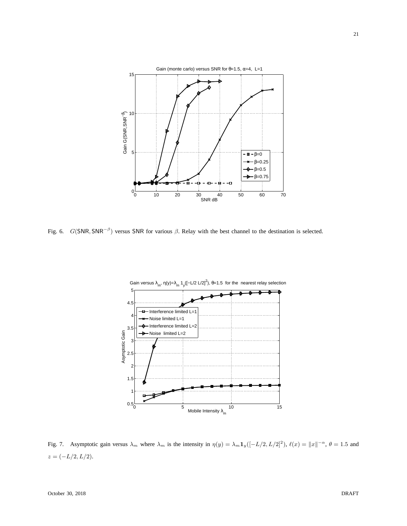

Fig. 6.  $G(SNR, SNR^{-\beta})$  versus SNR for various  $\beta$ . Relay with the best channel to the destination is selected.



Fig. 7. Asymptotic gain versus  $\lambda_m$  where  $\lambda_m$  is the intensity in  $\eta(y) = \lambda_m \mathbf{1}_y ([-L/2, L/2]^2)$ ,  $\ell(x) = ||x||^{-\alpha}$ ,  $\theta = 1.5$  and  $z = (-L/2, L/2).$ 

21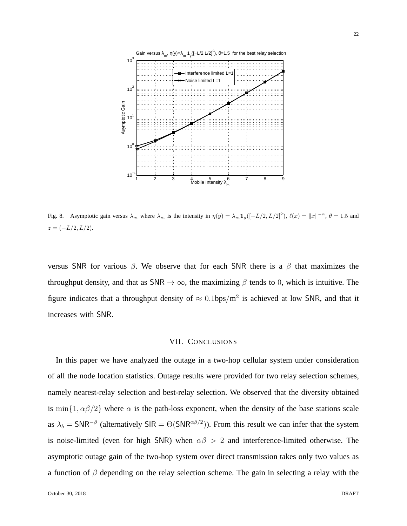

Fig. 8. Asymptotic gain versus  $\lambda_m$  where  $\lambda_m$  is the intensity in  $\eta(y) = \lambda_m \mathbf{1}_y ([-L/2, L/2]^2)$ ,  $\ell(x) = ||x||^{-\alpha}$ ,  $\theta = 1.5$  and  $z = (-L/2, L/2).$ 

versus SNR for various  $\beta$ . We observe that for each SNR there is a  $\beta$  that maximizes the throughput density, and that as SNR  $\rightarrow \infty$ , the maximizing  $\beta$  tends to 0, which is intuitive. The figure indicates that a throughput density of  $\approx 0.1$ bps/m<sup>2</sup> is achieved at low SNR, and that it increases with SNR.

## VII. CONCLUSIONS

In this paper we have analyzed the outage in a two-hop cellular system under consideration of all the node location statistics. Outage results were provided for two relay selection schemes, namely nearest-relay selection and best-relay selection. We observed that the diversity obtained is min{1,  $\alpha\beta/2$ } where  $\alpha$  is the path-loss exponent, when the density of the base stations scale as  $\lambda_b = \text{SNR}^{-\beta}$  (alternatively SIR =  $\Theta(\text{SNR}^{\alpha\beta/2})$ ). From this result we can infer that the system is noise-limited (even for high SNR) when  $\alpha\beta > 2$  and interference-limited otherwise. The asymptotic outage gain of the two-hop system over direct transmission takes only two values as a function of  $\beta$  depending on the relay selection scheme. The gain in selecting a relay with the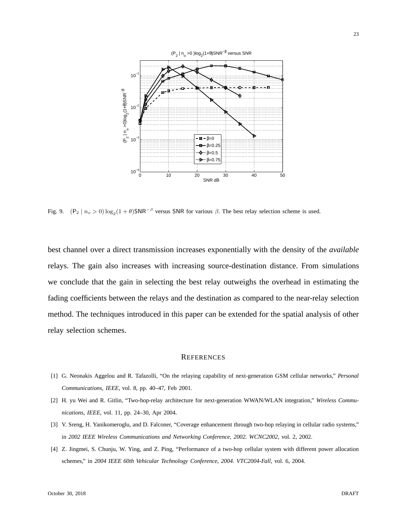

Fig. 9.  $(P_2 | n_o > 0) \log_2(1 + \theta)$ SNR<sup>- $\beta$ </sup> versus SNR for various  $\beta$ . The best relay selection scheme is used.

best channel over a direct transmission increases exponentially with the density of the *available* relays. The gain also increases with increasing source-destination distance. From simulations we conclude that the gain in selecting the best relay outweighs the overhead in estimating the fading coefficients between the relays and the destination as compared to the near-relay selection method. The techniques introduced in this paper can be extended for the spatial analysis of other relay selection schemes.

#### **REFERENCES**

- [1] G. Neonakis Aggelou and R. Tafazolli, "On the relaying capability of next-generation GSM cellular networks," *Personal Communications, IEEE*, vol. 8, pp. 40–47, Feb 2001.
- [2] H. yu Wei and R. Gitlin, "Two-hop-relay architecture for next-generation WWAN/WLAN integration," *Wireless Communications, IEEE*, vol. 11, pp. 24–30, Apr 2004.
- [3] V. Sreng, H. Yanikomeroglu, and D. Falconer, "Coverage enhancement through two-hop relaying in cellular radio systems," in *2002 IEEE Wireless Communications and Networking Conference, 2002. WCNC2002*, vol. 2, 2002.
- [4] Z. Jingmei, S. Chunju, W. Ying, and Z. Ping, "Performance of a two-hop cellular system with different power allocation schemes," in *2004 IEEE 60th Vehicular Technology Conference, 2004. VTC2004-Fall*, vol. 6, 2004.